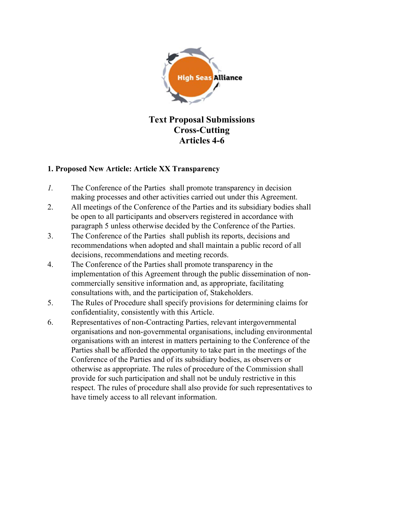

Text Proposal Submissions Cross-Cutting Articles 4-6

## 1. Proposed New Article: Article XX Transparency

- 1. The Conference of the Parties shall promote transparency in decision making processes and other activities carried out under this Agreement.
- 2. All meetings of the Conference of the Parties and its subsidiary bodies shall be open to all participants and observers registered in accordance with paragraph 5 unless otherwise decided by the Conference of the Parties.
- 3. The Conference of the Parties shall publish its reports, decisions and recommendations when adopted and shall maintain a public record of all decisions, recommendations and meeting records.
- 4. The Conference of the Parties shall promote transparency in the implementation of this Agreement through the public dissemination of noncommercially sensitive information and, as appropriate, facilitating consultations with, and the participation of, Stakeholders.
- 5. The Rules of Procedure shall specify provisions for determining claims for confidentiality, consistently with this Article.
- 6. Representatives of non-Contracting Parties, relevant intergovernmental organisations and non-governmental organisations, including environmental organisations with an interest in matters pertaining to the Conference of the Parties shall be afforded the opportunity to take part in the meetings of the Conference of the Parties and of its subsidiary bodies, as observers or otherwise as appropriate. The rules of procedure of the Commission shall provide for such participation and shall not be unduly restrictive in this respect. The rules of procedure shall also provide for such representatives to have timely access to all relevant information.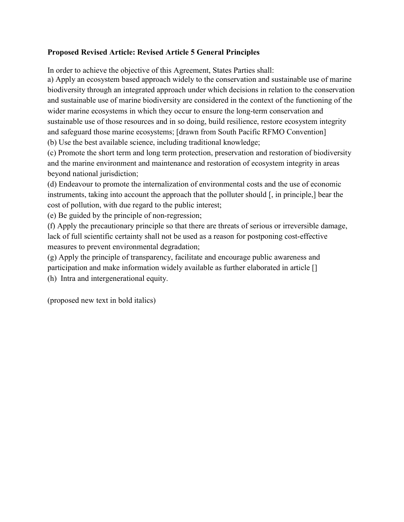## Proposed Revised Article: Revised Article 5 General Principles

In order to achieve the objective of this Agreement, States Parties shall:

a) Apply an ecosystem based approach widely to the conservation and sustainable use of marine biodiversity through an integrated approach under which decisions in relation to the conservation and sustainable use of marine biodiversity are considered in the context of the functioning of the wider marine ecosystems in which they occur to ensure the long-term conservation and sustainable use of those resources and in so doing, build resilience, restore ecosystem integrity and safeguard those marine ecosystems; [drawn from South Pacific RFMO Convention] (b) Use the best available science, including traditional knowledge;

(c) Promote the short term and long term protection, preservation and restoration of biodiversity and the marine environment and maintenance and restoration of ecosystem integrity in areas beyond national jurisdiction;

(d) Endeavour to promote the internalization of environmental costs and the use of economic instruments, taking into account the approach that the polluter should [, in principle,] bear the cost of pollution, with due regard to the public interest;

(e) Be guided by the principle of non-regression;

(f) Apply the precautionary principle so that there are threats of serious or irreversible damage, lack of full scientific certainty shall not be used as a reason for postponing cost-effective measures to prevent environmental degradation;

(g) Apply the principle of transparency, facilitate and encourage public awareness and participation and make information widely available as further elaborated in article [] (h) Intra and intergenerational equity.

(proposed new text in bold italics)